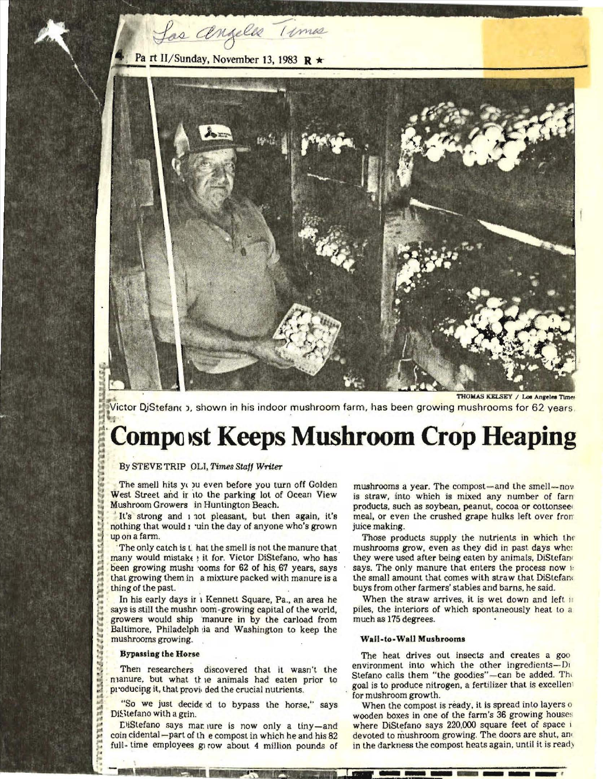

Las angeles 11 mas



Victor DiStefano , shown in his indoor mushroom farm, has been growing mushrooms for 62 years.

## **Compost Keeps Mushroom Crop Heaping**

By STEVE TRIPOLI, *Times Staff Writer* 

The smell hits you even before you turn off Golden West Street and ir ito the parking lot of Ocean View Mushroom Growers in Huntington Beach.

It's strong and i not pleasant, but then again, it's nothing that would 1 'uin the day of anyone who's grown upon a farm.

The only catch is that the smell is not the manure that  $many$  would mistak $\epsilon$   $:$  it for. Victor DiStefano, who has been growing mushi 'ooms for 62 of his 67 years, says that growing them in a mixture packed with manure is a thing of the past.

 $\blacksquare$  In his early days if i Kennett Square, Pa., an area he says is still the mushr com-growing capital of the world, growers would ship 'manure in by the carload from Baltimore, Philadelph ia and Washington to keep the mushrooms growing.

## **Bypassing the Horse**

Then researchers discovered that it wasn't the nianure, but what the animals had eaten prior to producing it, that provided the crucial nutrients.

'So we just decide d to bypass the horse," says DiStefano with a grin.

EliStefano says mar lure is now only a tiny-and coin cidental – part of the compost in which he and his  $82$ full-time employees givow about 4 million pounds of

mushrooms a year. The compost—and the smell—nov is straw, into which is mixed any number of farn products, such as soybean, peanut, cocoa or cottonsee meal, or even the crushed grape hulks left over from juice making.

Those products supply the nutrients in which the mushrooms grow, even as they did in past days whc: they were used after being eaten by animals, DiStefan· says. The only manure that enters the process now i: the small amount that comes with straw that DiStefand buys from other farmers' stables and barns, he said.

When the straw arrives, it is wet down and left it piles, the interiors of which spontaneously heat to a much as 175 degrees.

## Wall-to-WaU Musbrooms

The heat drives out insects and creates a goo environment into which the other ingredients-Di Stefano calls them "the goodies"-can be added. The goal is to produce nitrogen, a fertilizer that is excellen' for mushroom growth.

When the compost is ready, it is spread into layers o wooden boxes in one of the farm's 36 growing houses where DiStefano says 220,000 square feet of space i devoted to mushroom growing. The doors are shut, and<br>in the darkness the compost heats again, until it is ready in the darkness the compost heats again, until it is ready

**,**